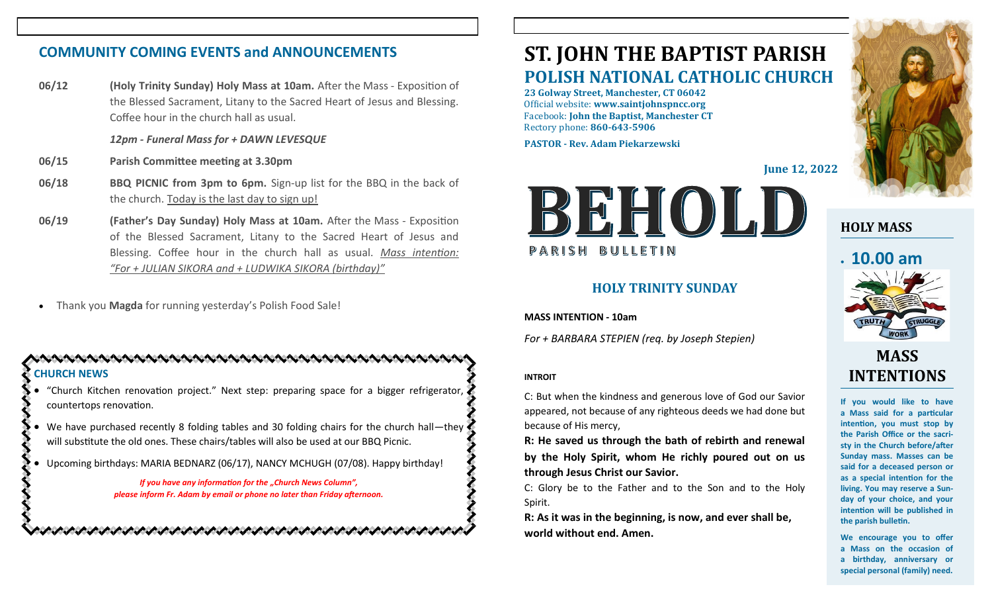## **COMMUNITY COMING EVENTS and ANNOUNCEMENTS**

**06/12 (Holy Trinity Sunday) Holy Mass at 10am.** After the Mass - Exposition of the Blessed Sacrament, Litany to the Sacred Heart of Jesus and Blessing. Coffee hour in the church hall as usual.

*12pm - Funeral Mass for + DAWN LEVESQUE*

- **06/15 Parish Committee meeting at 3.30pm**
- **06/18 BBQ PICNIC from 3pm to 6pm.** Sign-up list for the BBQ in the back of the church. Today is the last day to sign up!
- **06/19 (Father's Day Sunday) Holy Mass at 10am.** After the Mass Exposition of the Blessed Sacrament, Litany to the Sacred Heart of Jesus and Blessing. Coffee hour in the church hall as usual. *Mass intention: "For + JULIAN SIKORA and + LUDWIKA SIKORA (birthday)"*
- Thank you **Magda** for running yesterday's Polish Food Sale!

#### NASARA ASARA ASARA ASARA ASARA ASARA ASARA ASAR **CHURCH NEWS**

- "Church Kitchen renovation project." Next step: preparing space for a bigger refrigerator, countertops renovation.
- We have purchased recently 8 folding tables and 30 folding chairs for the church hall—they will substitute the old ones. These chairs/tables will also be used at our BBQ Picnic.
- Upcoming birthdays: MARIA BEDNARZ (06/17), NANCY MCHUGH (07/08). Happy birthday!

*If you have any information for the "Church News Column", please inform Fr. Adam by email or phone no later than Friday afternoon.*

いうけいさいきつう きんけいきょうけいきょう きょうきょうきょう きょうきょうきょうきょう

# **ST. JOHN THE BAPTIST PARISH POLISH NATIONAL CATHOLIC CHURCH**

**23 Golway Street, Manchester, CT 06042** Official website: **www.saintjohnspncc.org** Facebook: **John the Baptist, Manchester CT** Rectory phone: **860-643-5906** 

**PASTOR - Rev. Adam Piekarzewski**

**June 12, 2022**



#### **HOLY TRINITY SUNDAY**

**MASS INTENTION - 10am**

*For + BARBARA STEPIEN (req. by Joseph Stepien)*

#### **INTROIT**

C: But when the kindness and generous love of God our Savior appeared, not because of any righteous deeds we had done but because of His mercy,

**R: He saved us through the bath of rebirth and renewal by the Holy Spirit, whom He richly poured out on us through Jesus Christ our Savior.**

C: Glory be to the Father and to the Son and to the Holy Spirit.

**R: As it was in the beginning, is now, and ever shall be, world without end. Amen.**



## **HOLY MASS**

# • **10.00 am**



## **MASS INTENTIONS**

**If you would like to have a Mass said for a particular intention, you must stop by the Parish Office or the sacristy in the Church before/after Sunday mass. Masses can be said for a deceased person or as a special intention for the living. You may reserve a Sunday of your choice, and your intention will be published in the parish bulletin.**

**We encourage you to offer a Mass on the occasion of a birthday, anniversary or special personal (family) need.**